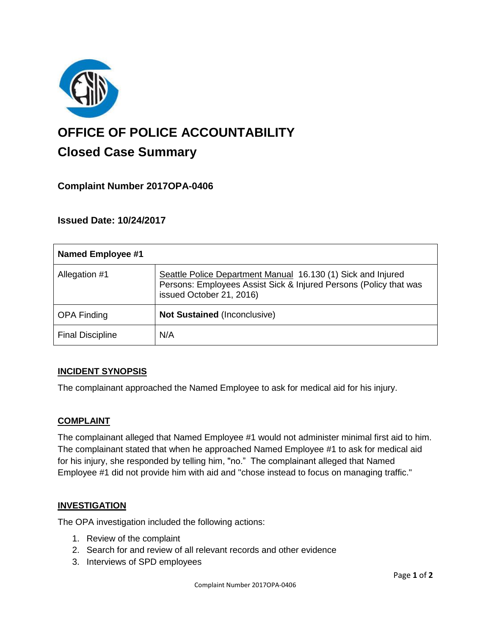

# **OFFICE OF POLICE ACCOUNTABILITY**

# **Closed Case Summary**

# **Complaint Number 2017OPA-0406**

# **Issued Date: 10/24/2017**

| <b>Named Employee #1</b> |                                                                                                                                                               |
|--------------------------|---------------------------------------------------------------------------------------------------------------------------------------------------------------|
| Allegation #1            | Seattle Police Department Manual 16.130 (1) Sick and Injured<br>Persons: Employees Assist Sick & Injured Persons (Policy that was<br>issued October 21, 2016) |
| <b>OPA Finding</b>       | <b>Not Sustained (Inconclusive)</b>                                                                                                                           |
| <b>Final Discipline</b>  | N/A                                                                                                                                                           |

# **INCIDENT SYNOPSIS**

The complainant approached the Named Employee to ask for medical aid for his injury.

#### **COMPLAINT**

The complainant alleged that Named Employee #1 would not administer minimal first aid to him. The complainant stated that when he approached Named Employee #1 to ask for medical aid for his injury, she responded by telling him, "no." The complainant alleged that Named Employee #1 did not provide him with aid and "chose instead to focus on managing traffic."

#### **INVESTIGATION**

The OPA investigation included the following actions:

- 1. Review of the complaint
- 2. Search for and review of all relevant records and other evidence
- 3. Interviews of SPD employees